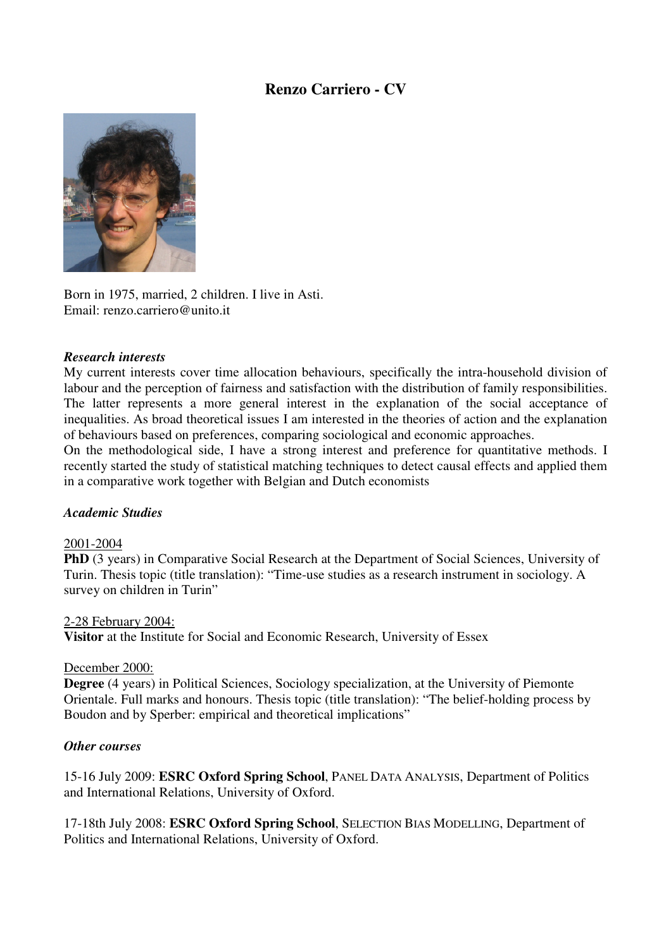# **Renzo Carriero - CV**



Born in 1975, married, 2 children. I live in Asti. Email: renzo.carriero@unito.it

#### *Research interests*

My current interests cover time allocation behaviours, specifically the intra-household division of labour and the perception of fairness and satisfaction with the distribution of family responsibilities. The latter represents a more general interest in the explanation of the social acceptance of inequalities. As broad theoretical issues I am interested in the theories of action and the explanation of behaviours based on preferences, comparing sociological and economic approaches.

On the methodological side, I have a strong interest and preference for quantitative methods. I recently started the study of statistical matching techniques to detect causal effects and applied them in a comparative work together with Belgian and Dutch economists

### *Academic Studies*

#### 2001-2004

**PhD** (3 years) in Comparative Social Research at the Department of Social Sciences, University of Turin. Thesis topic (title translation): "Time-use studies as a research instrument in sociology. A survey on children in Turin"

#### 2-28 February 2004:

**Visitor** at the Institute for Social and Economic Research, University of Essex

### December 2000:

**Degree** (4 years) in Political Sciences, Sociology specialization, at the University of Piemonte Orientale. Full marks and honours. Thesis topic (title translation): "The belief-holding process by Boudon and by Sperber: empirical and theoretical implications"

### *Other courses*

15-16 July 2009: **ESRC Oxford Spring School**, PANEL DATA ANALYSIS, Department of Politics and International Relations, University of Oxford.

17-18th July 2008: **ESRC Oxford Spring School**, SELECTION BIAS MODELLING, Department of Politics and International Relations, University of Oxford.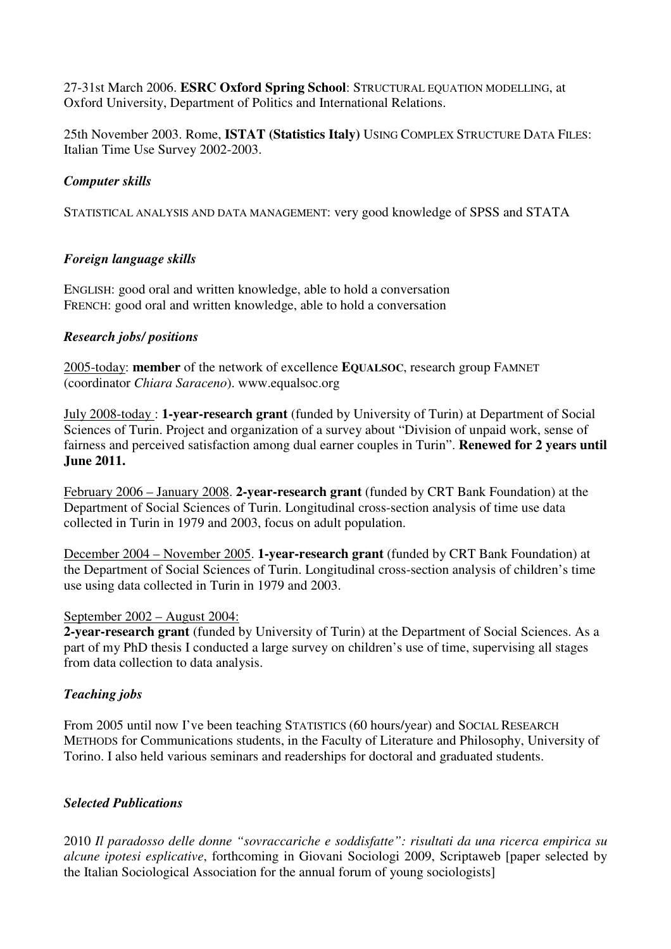27-31st March 2006. **ESRC Oxford Spring School**: STRUCTURAL EQUATION MODELLING, at Oxford University, Department of Politics and International Relations.

25th November 2003. Rome, **ISTAT (Statistics Italy)** USING COMPLEX STRUCTURE DATA FILES: Italian Time Use Survey 2002-2003.

# *Computer skills*

STATISTICAL ANALYSIS AND DATA MANAGEMENT: very good knowledge of SPSS and STATA

# *Foreign language skills*

ENGLISH: good oral and written knowledge, able to hold a conversation FRENCH: good oral and written knowledge, able to hold a conversation

# *Research jobs/ positions*

2005-today: **member** of the network of excellence **EQUALSOC**, research group FAMNET (coordinator *Chiara Saraceno*). www.equalsoc.org

July 2008-today : **1-year-research grant** (funded by University of Turin) at Department of Social Sciences of Turin. Project and organization of a survey about "Division of unpaid work, sense of fairness and perceived satisfaction among dual earner couples in Turin". **Renewed for 2 years until June 2011.**

February 2006 – January 2008. **2-year-research grant** (funded by CRT Bank Foundation) at the Department of Social Sciences of Turin. Longitudinal cross-section analysis of time use data collected in Turin in 1979 and 2003, focus on adult population.

December 2004 – November 2005. **1-year-research grant** (funded by CRT Bank Foundation) at the Department of Social Sciences of Turin. Longitudinal cross-section analysis of children's time use using data collected in Turin in 1979 and 2003.

### September 2002 – August 2004:

**2-year-research grant** (funded by University of Turin) at the Department of Social Sciences. As a part of my PhD thesis I conducted a large survey on children's use of time, supervising all stages from data collection to data analysis.

# *Teaching jobs*

From 2005 until now I've been teaching STATISTICS (60 hours/year) and SOCIAL RESEARCH METHODS for Communications students, in the Faculty of Literature and Philosophy, University of Torino. I also held various seminars and readerships for doctoral and graduated students.

# *Selected Publications*

2010 *Il paradosso delle donne "sovraccariche e soddisfatte": risultati da una ricerca empirica su alcune ipotesi esplicative*, forthcoming in Giovani Sociologi 2009, Scriptaweb [paper selected by the Italian Sociological Association for the annual forum of young sociologists]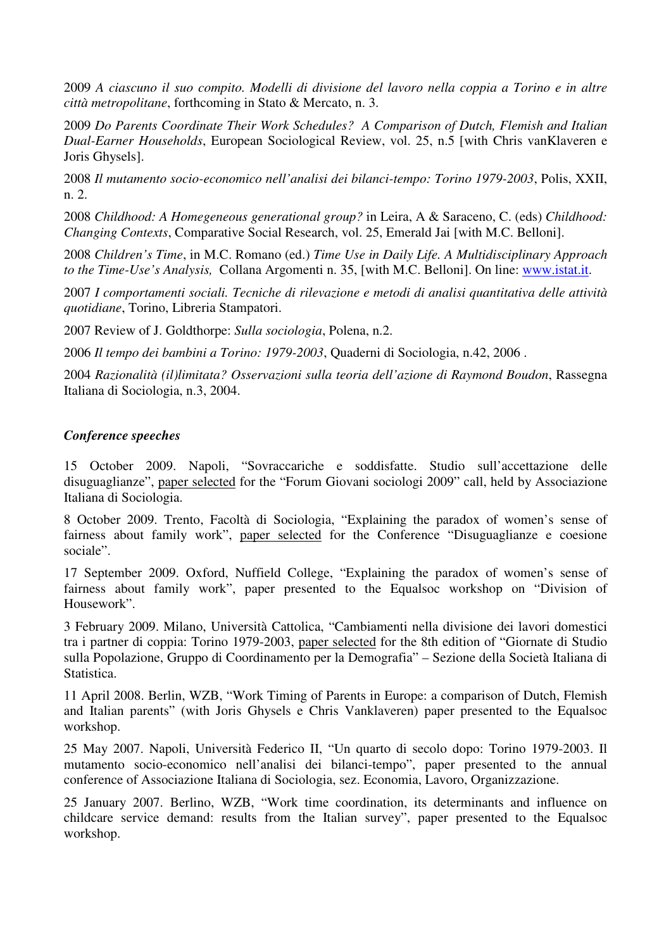2009 *A ciascuno il suo compito. Modelli di divisione del lavoro nella coppia a Torino e in altre città metropolitane*, forthcoming in Stato & Mercato, n. 3.

2009 *Do Parents Coordinate Their Work Schedules? A Comparison of Dutch, Flemish and Italian Dual-Earner Households*, European Sociological Review, vol. 25, n.5 [with Chris vanKlaveren e Joris Ghysels].

2008 *Il mutamento socio-economico nell'analisi dei bilanci-tempo: Torino 1979-2003*, Polis, XXII, n. 2.

2008 *Childhood: A Homegeneous generational group?* in Leira, A & Saraceno, C. (eds) *Childhood: Changing Contexts*, Comparative Social Research, vol. 25, Emerald Jai [with M.C. Belloni].

2008 *Children's Time*, in M.C. Romano (ed.) *Time Use in Daily Life. A Multidisciplinary Approach to the Time-Use's Analysis,* Collana Argomenti n. 35, [with M.C. Belloni]. On line: www.istat.it.

2007 *I comportamenti sociali. Tecniche di rilevazione e metodi di analisi quantitativa delle attività quotidiane*, Torino, Libreria Stampatori.

2007 Review of J. Goldthorpe: *Sulla sociologia*, Polena, n.2.

2006 *Il tempo dei bambini a Torino: 1979-2003*, Quaderni di Sociologia, n.42, 2006 .

2004 *Razionalità (il)limitata? Osservazioni sulla teoria dell'azione di Raymond Boudon*, Rassegna Italiana di Sociologia, n.3, 2004.

### *Conference speeches*

15 October 2009. Napoli, "Sovraccariche e soddisfatte. Studio sull'accettazione delle disuguaglianze", paper selected for the "Forum Giovani sociologi 2009" call, held by Associazione Italiana di Sociologia.

8 October 2009. Trento, Facoltà di Sociologia, "Explaining the paradox of women's sense of fairness about family work", paper selected for the Conference "Disuguaglianze e coesione sociale".

17 September 2009. Oxford, Nuffield College, "Explaining the paradox of women's sense of fairness about family work", paper presented to the Equalsoc workshop on "Division of Housework".

3 February 2009. Milano, Università Cattolica, "Cambiamenti nella divisione dei lavori domestici tra i partner di coppia: Torino 1979-2003, paper selected for the 8th edition of "Giornate di Studio sulla Popolazione, Gruppo di Coordinamento per la Demografia" – Sezione della Società Italiana di Statistica.

11 April 2008. Berlin, WZB, "Work Timing of Parents in Europe: a comparison of Dutch, Flemish and Italian parents" (with Joris Ghysels e Chris Vanklaveren) paper presented to the Equalsoc workshop.

25 May 2007. Napoli, Università Federico II, "Un quarto di secolo dopo: Torino 1979-2003. Il mutamento socio-economico nell'analisi dei bilanci-tempo", paper presented to the annual conference of Associazione Italiana di Sociologia, sez. Economia, Lavoro, Organizzazione.

25 January 2007. Berlino, WZB, "Work time coordination, its determinants and influence on childcare service demand: results from the Italian survey", paper presented to the Equalsoc workshop.